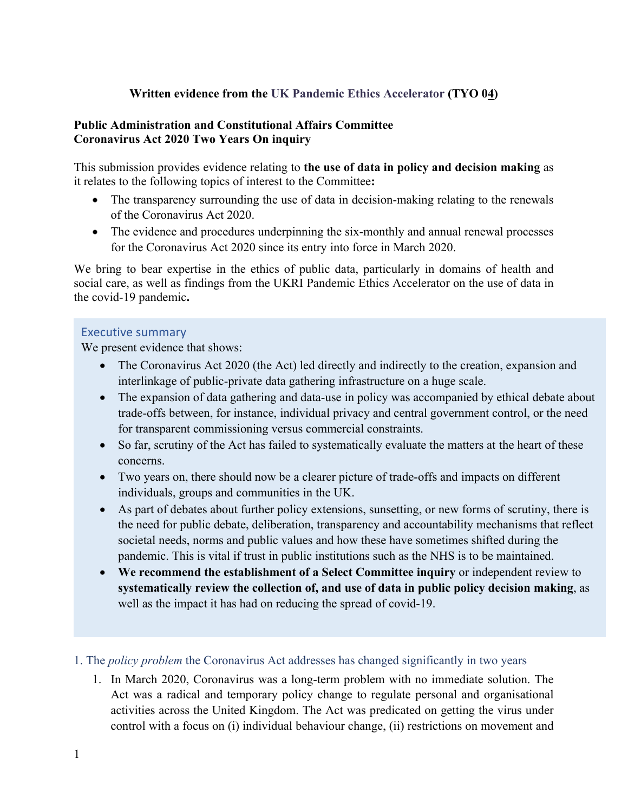## **Written evidence from the UK Pandemic Ethics Accelerator (TYO 04)**

## **[Public](https://admin.committees.parliament.uk/Committee/Edit/327) [Administration](https://admin.committees.parliament.uk/Committee/Edit/327) [and](https://admin.committees.parliament.uk/Committee/Edit/327) [Constitutional](https://admin.committees.parliament.uk/Committee/Edit/327) [Affairs](https://admin.committees.parliament.uk/Committee/Edit/327) [Committee](https://admin.committees.parliament.uk/Committee/Edit/327) [Coronavirus](https://admin.committees.parliament.uk/Committee/327/CommitteeBusiness/Edit/1718) [Act](https://admin.committees.parliament.uk/Committee/327/CommitteeBusiness/Edit/1718) [2020](https://admin.committees.parliament.uk/Committee/327/CommitteeBusiness/Edit/1718) [Two](https://admin.committees.parliament.uk/Committee/327/CommitteeBusiness/Edit/1718) [Years](https://admin.committees.parliament.uk/Committee/327/CommitteeBusiness/Edit/1718) [On](https://admin.committees.parliament.uk/Committee/327/CommitteeBusiness/Edit/1718) inquiry**

This submission provides evidence relating to **the use of data in policy and decision making** as it relates to the following topics of interest to the Committee**:** 

- The transparency surrounding the use of data in decision-making relating to the renewals of the Coronavirus Act 2020.
- The evidence and procedures underpinning the six-monthly and annual renewal processes for the Coronavirus Act 2020 since its entry into force in March 2020.

We bring to bear expertise in the ethics of public data, particularly in domains of health and social care, as well as findings from the UKRI Pandemic Ethics Accelerator on the use of data in the covid-19 pandemic**.**

## Executive summary

We present evidence that shows:

- The Coronavirus Act 2020 (the Act) led directly and indirectly to the creation, expansion and interlinkage of public-private data gathering infrastructure on a huge scale.
- The expansion of data gathering and data-use in policy was accompanied by ethical debate about trade-offs between, for instance, individual privacy and central government control, or the need for transparent commissioning versus commercial constraints.
- So far, scrutiny of the Act has failed to systematically evaluate the matters at the heart of these concerns.
- Two years on, there should now be a clearer picture of trade-offs and impacts on different individuals, groups and communities in the UK.
- As part of debates about further policy extensions, sunsetting, or new forms of scrutiny, there is the need for public debate, deliberation, transparency and accountability mechanisms that reflect societal needs, norms and public values and how these have sometimes shifted during the pandemic. This is vital if trust in public institutions such as the NHS is to be maintained.
- **We recommend the establishment of a Select Committee inquiry** or independent review to **systematically review the collection of, and use of data in public policy decision making**, as well as the impact it has had on reducing the spread of covid-19.
- 1. The *policy problem* the Coronavirus Act addresses has changed significantly in two years
	- 1. In March 2020, Coronavirus was a long-term problem with no immediate solution. The Act was a radical and temporary policy change to regulate personal and organisational activities across the United Kingdom. The Act was predicated on getting the virus under control with a focus on (i) individual behaviour change, (ii) restrictions on movement and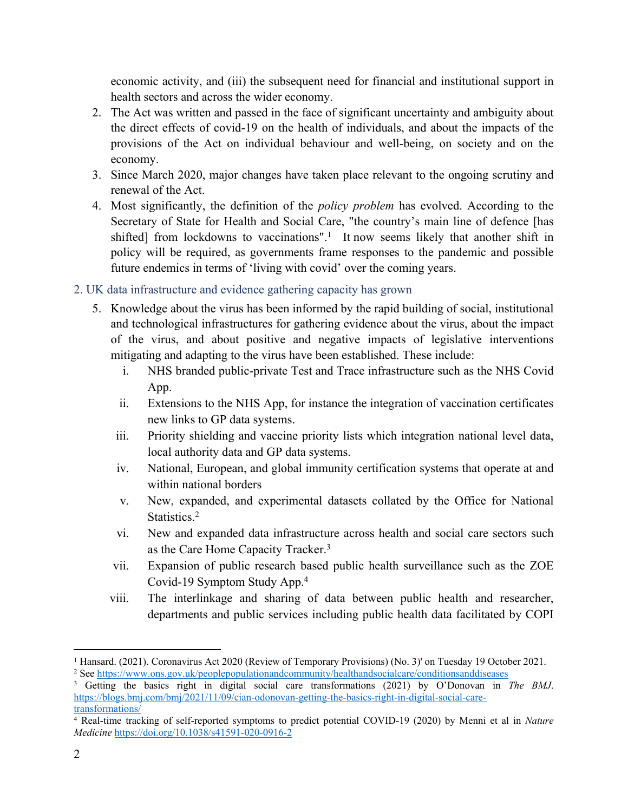economic activity, and (iii) the subsequent need for financial and institutional support in health sectors and across the wider economy.

- 2. The Act was written and passed in the face of significant uncertainty and ambiguity about the direct effects of covid-19 on the health of individuals, and about the impacts of the provisions of the Act on individual behaviour and well-being, on society and on the economy.
- 3. Since March 2020, major changes have taken place relevant to the ongoing scrutiny and renewal of the Act.
- 4. Most significantly, the definition of the *policy problem* has evolved. According to the Secretary of State for Health and Social Care, "the country's main line of defence [has shifted] from lockdowns to vaccinations".<sup>1</sup> It now seems likely that another shift in policy will be required, as governments frame responses to the pandemic and possible future endemics in terms of 'living with covid' over the coming years.
- 2. UK data infrastructure and evidence gathering capacity has grown
	- 5. Knowledge about the virus has been informed by the rapid building of social, institutional and technological infrastructures for gathering evidence about the virus, about the impact of the virus, and about positive and negative impacts of legislative interventions mitigating and adapting to the virus have been established. These include:
		- i. NHS branded public-private Test and Trace infrastructure such as the NHS Covid App.
		- ii. Extensions to the NHS App, for instance the integration of vaccination certificates new links to GP data systems.
		- iii. Priority shielding and vaccine priority lists which integration national level data, local authority data and GP data systems.
		- iv. National, European, and global immunity certification systems that operate at and within national borders
		- v. New, expanded, and experimental datasets collated by the Office for National Statistics.<sup>2</sup>
		- vi. New and expanded data infrastructure across health and social care sectors such as the Care Home Capacity Tracker.<sup>3</sup>
		- vii. Expansion of public research based public health surveillance such as the ZOE Covid-19 Symptom Study App.<sup>4</sup>
		- viii. The interlinkage and sharing of data between public health and researcher, departments and public services including public health data facilitated by COPI

<sup>1</sup> Hansard. (2021). Coronavirus Act 2020 (Review of Temporary Provisions) (No. 3)' on Tuesday 19 October 2021. <sup>2</sup> See <https://www.ons.gov.uk/peoplepopulationandcommunity/healthandsocialcare/conditionsanddiseases>

<sup>3</sup> Getting the basics right in digital social care transformations (2021) by O'Donovan in *The BMJ*. [https://blogs.bmj.com/bmj/2021/11/09/cian-odonovan-getting-the-basics-right-in-digital-social-care](https://blogs.bmj.com/bmj/2021/11/09/cian-odonovan-getting-the-basics-right-in-digital-social-care-transformations/)[transformations/](https://blogs.bmj.com/bmj/2021/11/09/cian-odonovan-getting-the-basics-right-in-digital-social-care-transformations/)

<sup>4</sup> Real-time tracking of self-reported symptoms to predict potential COVID-19 (2020) by Menni et al in *Nature Medicine* <https://doi.org/10.1038/s41591-020-0916-2>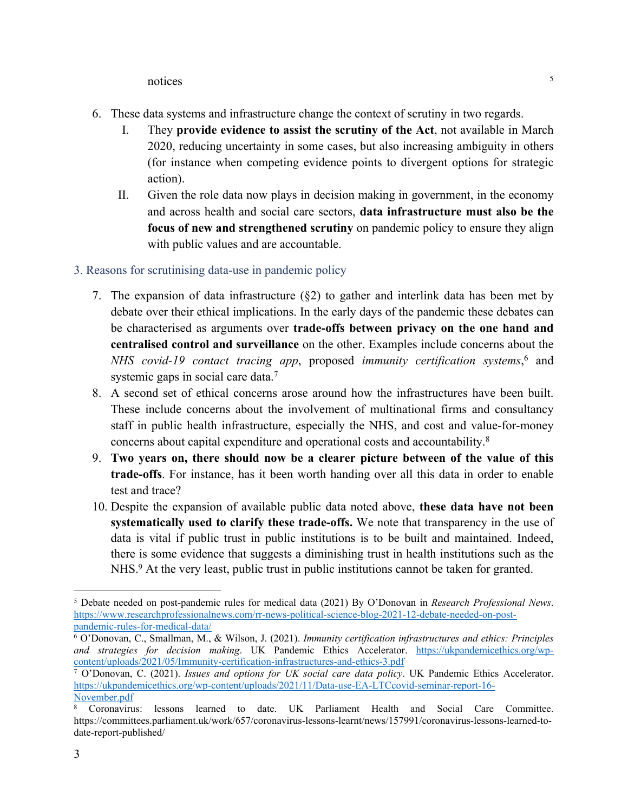notices  $\frac{5}{5}$ 

- 6. These data systems and infrastructure change the context of scrutiny in two regards.
	- I. They **provide evidence to assist the scrutiny of the Act**, not available in March 2020, reducing uncertainty in some cases, but also increasing ambiguity in others (for instance when competing evidence points to divergent options for strategic action).
	- II. Given the role data now plays in decision making in government, in the economy and across health and social care sectors, **data infrastructure must also be the focus of new and strengthened scrutiny** on pandemic policy to ensure they align with public values and are accountable.
- 3. Reasons for scrutinising data-use in pandemic policy
	- 7. The expansion of data infrastructure  $(\S 2)$  to gather and interlink data has been met by debate over their ethical implications. In the early days of the pandemic these debates can be characterised as arguments over **trade-offs between privacy on the one hand and centralised control and surveillance** on the other. Examples include concerns about the *NHS covid-19 contact tracing app*, proposed *immunity certification systems*, <sup>6</sup> and systemic gaps in social care data.<sup>7</sup>
	- 8. A second set of ethical concerns arose around how the infrastructures have been built. These include concerns about the involvement of multinational firms and consultancy staff in public health infrastructure, especially the NHS, and cost and value-for-money concerns about capital expenditure and operational costs and accountability.<sup>8</sup>
	- 9. **Two years on, there should now be a clearer picture between of the value of this trade-offs**. For instance, has it been worth handing over all this data in order to enable test and trace?
	- 10. Despite the expansion of available public data noted above, **these data have not been systematically used to clarify these trade-offs.** We note that transparency in the use of data is vital if public trust in public institutions is to be built and maintained. Indeed, there is some evidence that suggests a diminishing trust in health institutions such as the NHS.<sup>9</sup> At the very least, public trust in public institutions cannot be taken for granted.

<sup>5</sup> Debate needed on post-pandemic rules for medical data (2021) By O'Donovan in *Research Professional News*. [https://www.researchprofessionalnews.com/rr-news-political-science-blog-2021-12-debate-needed-on-post](https://www.researchprofessionalnews.com/rr-news-political-science-blog-2021-12-debate-needed-on-post-pandemic-rules-for-medical-data/)[pandemic-rules-for-medical-data/](https://www.researchprofessionalnews.com/rr-news-political-science-blog-2021-12-debate-needed-on-post-pandemic-rules-for-medical-data/)

<sup>6</sup> O'Donovan, C., Smallman, M., & Wilson, J. (2021). *Immunity certification infrastructures and ethics: Principles and strategies for decision making*. UK Pandemic Ethics Accelerator. [https://ukpandemicethics.org/wp](https://ukpandemicethics.org/wp-content/uploads/2021/05/Immunity-certification-infrastructures-and-ethics-3.pdf)[content/uploads/2021/05/Immunity-certification-infrastructures-and-ethics-3.pdf](https://ukpandemicethics.org/wp-content/uploads/2021/05/Immunity-certification-infrastructures-and-ethics-3.pdf)

<sup>7</sup> O'Donovan, C. (2021). *Issues and options for UK social care data policy*. UK Pandemic Ethics Accelerator. [https://ukpandemicethics.org/wp-content/uploads/2021/11/Data-use-EA-LTCcovid-seminar-report-16-](https://ukpandemicethics.org/wp-content/uploads/2021/11/Data-use-EA-LTCcovid-seminar-report-16-November.pdf) [November.pdf](https://ukpandemicethics.org/wp-content/uploads/2021/11/Data-use-EA-LTCcovid-seminar-report-16-November.pdf)

<sup>8</sup> Coronavirus: lessons learned to date. UK Parliament Health and Social Care Committee. https://committees.parliament.uk/work/657/coronavirus-lessons-learnt/news/157991/coronavirus-lessons-learned-todate-report-published/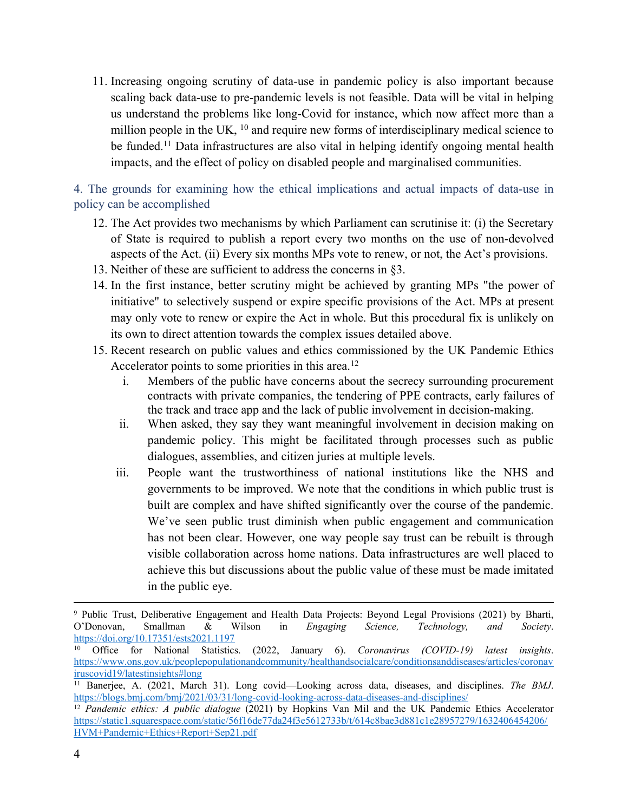11. Increasing ongoing scrutiny of data-use in pandemic policy is also important because scaling back data-use to pre-pandemic levels is not feasible. Data will be vital in helping us understand the problems like long-Covid for instance, which now affect more than a million people in the UK, <sup>10</sup> and require new forms of interdisciplinary medical science to be funded.<sup>11</sup> Data infrastructures are also vital in helping identify ongoing mental health impacts, and the effect of policy on disabled people and marginalised communities.

4. The grounds for examining how the ethical implications and actual impacts of data-use in policy can be accomplished

- 12. The Act provides two mechanisms by which Parliament can scrutinise it: (i) the Secretary of State is required to publish a report every two months on the use of non-devolved aspects of the Act. (ii) Every six months MPs vote to renew, or not, the Act's provisions.
- 13. Neither of these are sufficient to address the concerns in §3.
- 14. In the first instance, better scrutiny might be achieved by granting MPs "the power of initiative" to selectively suspend or expire specific provisions of the Act. MPs at present may only vote to renew or expire the Act in whole. But this procedural fix is unlikely on its own to direct attention towards the complex issues detailed above.
- 15. Recent research on public values and ethics commissioned by the UK Pandemic Ethics Accelerator points to some priorities in this area.<sup>12</sup>
	- i. Members of the public have concerns about the secrecy surrounding procurement contracts with private companies, the tendering of PPE contracts, early failures of the track and trace app and the lack of public involvement in decision-making.
	- ii. When asked, they say they want meaningful involvement in decision making on pandemic policy. This might be facilitated through processes such as public dialogues, assemblies, and citizen juries at multiple levels.
	- iii. People want the trustworthiness of national institutions like the NHS and governments to be improved. We note that the conditions in which public trust is built are complex and have shifted significantly over the course of the pandemic. We've seen public trust diminish when public engagement and communication has not been clear. However, one way people say trust can be rebuilt is through visible collaboration across home nations. Data infrastructures are well placed to achieve this but discussions about the public value of these must be made imitated in the public eye.

<sup>9</sup> Public Trust, Deliberative Engagement and Health Data Projects: Beyond Legal Provisions (2021) by Bharti, O'Donovan, Smallman & Wilson in *Engaging Science, Technology, and Society*. <https://doi.org/10.17351/ests2021.1197>

<sup>10</sup> Office for National Statistics. (2022, January 6). *Coronavirus (COVID-19) latest insights*. [https://www.ons.gov.uk/peoplepopulationandcommunity/healthandsocialcare/conditionsanddiseases/articles/coronav](https://www.ons.gov.uk/peoplepopulationandcommunity/healthandsocialcare/conditionsanddiseases/articles/coronaviruscovid19/latestinsights#long) [iruscovid19/latestinsights#long](https://www.ons.gov.uk/peoplepopulationandcommunity/healthandsocialcare/conditionsanddiseases/articles/coronaviruscovid19/latestinsights#long)

<sup>11</sup> Banerjee, A. (2021, March 31). Long covid—Looking across data, diseases, and disciplines. *The BMJ*. <https://blogs.bmj.com/bmj/2021/03/31/long-covid-looking-across-data-diseases-and-disciplines/>

<sup>12</sup> *Pandemic ethics: A public dialogue* (2021) by Hopkins Van Mil and the UK Pandemic Ethics Accelerator [https://static1.squarespace.com/static/56f16de77da24f3e5612733b/t/614c8bae3d881c1e28957279/1632406454206/](https://static1.squarespace.com/static/56f16de77da24f3e5612733b/t/614c8bae3d881c1e28957279/1632406454206/HVM+Pandemic+Ethics+Report+Sep21.pdf) [HVM+Pandemic+Ethics+Report+Sep21.pdf](https://static1.squarespace.com/static/56f16de77da24f3e5612733b/t/614c8bae3d881c1e28957279/1632406454206/HVM+Pandemic+Ethics+Report+Sep21.pdf)